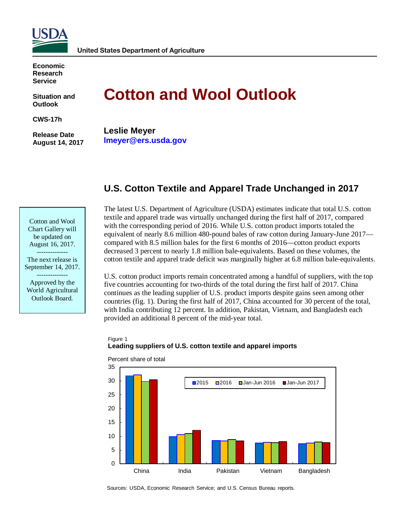

**Economic Research Service**

**Situation and Outlook**

**CWS-17h**

**Release Date August 14, 2017**

# **Cotton and Wool Outlook**

**Leslie Meyer lmeyer@ers.usda.gov**

# **U.S. Cotton Textile and Apparel Trade Unchanged in 2017**

Cotton and Wool Chart Gallery will be updated on August 16, 2017. --------------

The next release is September 14, 2017.

-------------- Approved by the World Agricultural Outlook Board.

The latest U.S. Department of Agriculture (USDA) estimates indicate that total U.S. cotton textile and apparel trade was virtually unchanged during the first half of 2017, compared with the corresponding period of 2016. While U.S. cotton product imports totaled the equivalent of nearly 8.6 million 480-pound bales of raw cotton during January-June 2017 compared with 8.5 million bales for the first 6 months of 2016—cotton product exports decreased 3 percent to nearly 1.8 million bale-equivalents. Based on these volumes, the cotton textile and apparel trade deficit was marginally higher at 6.8 million bale-equivalents.

U.S. cotton product imports remain concentrated among a handful of suppliers, with the top five countries accounting for two-thirds of the total during the first half of 2017. China continues as the leading supplier of U.S. product imports despite gains seen among other countries (fig. 1). During the first half of 2017, China accounted for 30 percent of the total, with India contributing 12 percent. In addition, Pakistan, Vietnam, and Bangladesh each provided an additional 8 percent of the mid-year total.

# Figure 1 **Leading suppliers of U.S. cotton textile and apparel imports**



Percent share of total

Sources: USDA, Economic Research Service; and U.S. Census Bureau reports.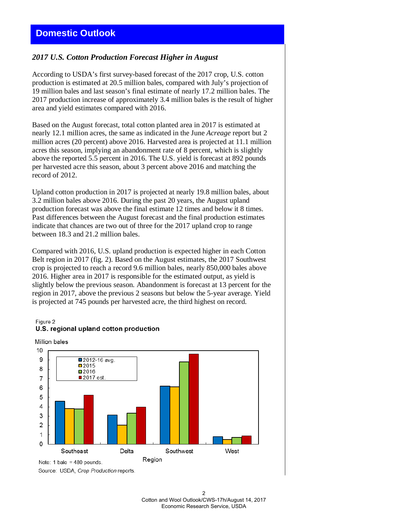# **Domestic Outlook**

# *2017 U.S. Cotton Production Forecast Higher in August*

According to USDA's first survey-based forecast of the 2017 crop, U.S. cotton production is estimated at 20.5 million bales, compared with July's projection of 19 million bales and last season's final estimate of nearly 17.2 million bales. The 2017 production increase of approximately 3.4 million bales is the result of higher area and yield estimates compared with 2016.

Based on the August forecast, total cotton planted area in 2017 is estimated at nearly 12.1 million acres, the same as indicated in the June *Acreage* report but 2 million acres (20 percent) above 2016. Harvested area is projected at 11.1 million acres this season, implying an abandonment rate of 8 percent, which is slightly above the reported 5.5 percent in 2016. The U.S. yield is forecast at 892 pounds per harvested acre this season, about 3 percent above 2016 and matching the record of 2012.

Upland cotton production in 2017 is projected at nearly 19.8 million bales, about 3.2 million bales above 2016. During the past 20 years, the August upland production forecast was above the final estimate 12 times and below it 8 times. Past differences between the August forecast and the final production estimates indicate that chances are two out of three for the 2017 upland crop to range between 18.3 and 21.2 million bales.

Compared with 2016, U.S. upland production is expected higher in each Cotton Belt region in 2017 (fig. 2). Based on the August estimates, the 2017 Southwest crop is projected to reach a record 9.6 million bales, nearly 850,000 bales above 2016. Higher area in 2017 is responsible for the estimated output, as yield is slightly below the previous season. Abandonment is forecast at 13 percent for the region in 2017, above the previous 2 seasons but below the 5-year average. Yield is projected at 745 pounds per harvested acre, the third highest on record.

#### Figure 2 U.S. regional upland cotton production



Source: USDA, Crop Production reports.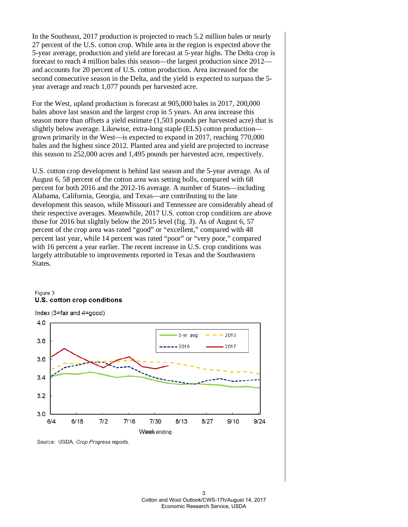In the Southeast, 2017 production is projected to reach 5.2 million bales or nearly 27 percent of the U.S. cotton crop. While area in the region is expected above the 5-year average, production and yield are forecast at 5-year highs. The Delta crop is forecast to reach 4 million bales this season—the largest production since 2012 and accounts for 20 percent of U.S. cotton production. Area increased for the second consecutive season in the Delta, and the yield is expected to surpass the 5 year average and reach 1,077 pounds per harvested acre.

For the West, upland production is forecast at 905,000 bales in 2017, 200,000 bales above last season and the largest crop in 5 years. An area increase this season more than offsets a yield estimate (1,503 pounds per harvested acre) that is slightly below average. Likewise, extra-long staple (ELS) cotton production grown primarily in the West—is expected to expand in 2017, reaching 770,000 bales and the highest since 2012. Planted area and yield are projected to increase this season to 252,000 acres and 1,495 pounds per harvested acre, respectively.

U.S. cotton crop development is behind last season and the 5-year average. As of August 6, 58 percent of the cotton area was setting bolls, compared with 68 percent for both 2016 and the 2012-16 average. A number of States—including Alabama, California, Georgia, and Texas—are contributing to the late development this season, while Missouri and Tennessee are considerably ahead of their respective averages. Meanwhile, 2017 U.S. cotton crop conditions are above those for 2016 but slightly below the 2015 level (fig. 3). As of August 6, 57 percent of the crop area was rated "good" or "excellent," compared with 48 percent last year, while 14 percent was rated "poor" or "very poor," compared with 16 percent a year earlier. The recent increase in U.S. crop conditions was largely attributable to improvements reported in Texas and the Southeastern States.

# Figure 3 U.S. cotton crop conditions



Source: USDA, Crop Progress reports.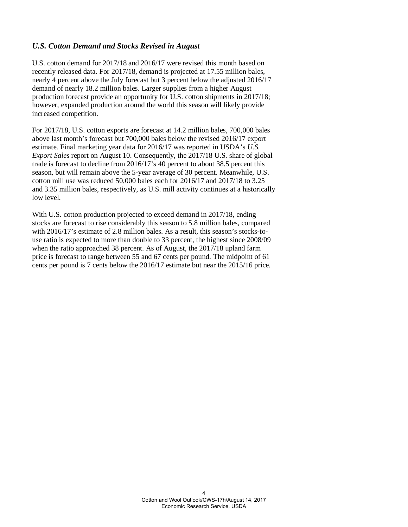# *U.S. Cotton Demand and Stocks Revised in August*

U.S. cotton demand for 2017/18 and 2016/17 were revised this month based on recently released data. For 2017/18, demand is projected at 17.55 million bales, nearly 4 percent above the July forecast but 3 percent below the adjusted 2016/17 demand of nearly 18.2 million bales. Larger supplies from a higher August production forecast provide an opportunity for U.S. cotton shipments in 2017/18; however, expanded production around the world this season will likely provide increased competition.

For 2017/18, U.S. cotton exports are forecast at 14.2 million bales, 700,000 bales above last month's forecast but 700,000 bales below the revised 2016/17 export estimate. Final marketing year data for 2016/17 was reported in USDA's *U.S. Export Sales* report on August 10. Consequently, the 2017/18 U.S. share of global trade is forecast to decline from 2016/17's 40 percent to about 38.5 percent this season, but will remain above the 5-year average of 30 percent. Meanwhile, U.S. cotton mill use was reduced 50,000 bales each for 2016/17 and 2017/18 to 3.25 and 3.35 million bales, respectively, as U.S. mill activity continues at a historically low level.

With U.S. cotton production projected to exceed demand in 2017/18, ending stocks are forecast to rise considerably this season to 5.8 million bales, compared with 2016/17's estimate of 2.8 million bales. As a result, this season's stocks-touse ratio is expected to more than double to 33 percent, the highest since 2008/09 when the ratio approached 38 percent. As of August, the 2017/18 upland farm price is forecast to range between 55 and 67 cents per pound. The midpoint of 61 cents per pound is 7 cents below the 2016/17 estimate but near the 2015/16 price.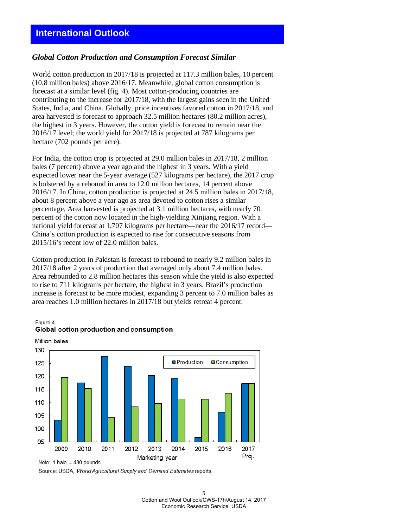# *Global Cotton Production and Consumption Forecast Similar*

World cotton production in 2017/18 is projected at 117.3 million bales, 10 percent (10.8 million bales) above 2016/17. Meanwhile, global cotton consumption is forecast at a similar level (fig. 4). Most cotton-producing countries are contributing to the increase for 2017/18, with the largest gains seen in the United States, India, and China. Globally, price incentives favored cotton in 2017/18, and area harvested is forecast to approach 32.5 million hectares (80.2 million acres), the highest in 3 years. However, the cotton yield is forecast to remain near the 2016/17 level; the world yield for 2017/18 is projected at 787 kilograms per hectare (702 pounds per acre).

For India, the cotton crop is projected at 29.0 million bales in 2017/18, 2 million bales (7 percent) above a year ago and the highest in 3 years. With a yield expected lower near the 5-year average (527 kilograms per hectare), the 2017 crop is bolstered by a rebound in area to 12.0 million hectares, 14 percent above 2016/17. In China, cotton production is projected at 24.5 million bales in 2017/18, about 8 percent above a year ago as area devoted to cotton rises a similar percentage. Area harvested is projected at 3.1 million hectares, with nearly 70 percent of the cotton now located in the high-yielding Xinjiang region. With a national yield forecast at 1,707 kilograms per hectare—near the 2016/17 record— China's cotton production is expected to rise for consecutive seasons from 2015/16's recent low of 22.0 million bales.

Cotton production in Pakistan is forecast to rebound to nearly 9.2 million bales in 2017/18 after 2 years of production that averaged only about 7.4 million bales. Area rebounded to 2.8 million hectares this season while the yield is also expected to rise to 711 kilograms per hectare, the highest in 3 years. Brazil's production increase is forecast to be more modest, expanding 3 percent to 7.0 million bales as area reaches 1.0 million hectares in 2017/18 but yields retreat 4 percent.

# Figure 4 Global cotton production and consumption



Million bales

Source: USDA, World Agricultural Supply and Demand Estimates reports.

Note: 1 bale =  $480$  pounds.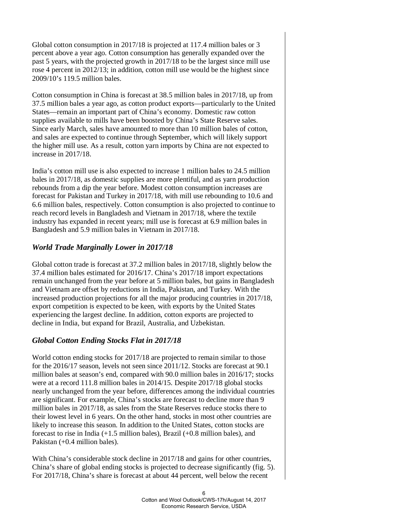Global cotton consumption in 2017/18 is projected at 117.4 million bales or 3 percent above a year ago. Cotton consumption has generally expanded over the past 5 years, with the projected growth in 2017/18 to be the largest since mill use rose 4 percent in 2012/13; in addition, cotton mill use would be the highest since 2009/10's 119.5 million bales.

Cotton consumption in China is forecast at 38.5 million bales in 2017/18, up from 37.5 million bales a year ago, as cotton product exports—particularly to the United States—remain an important part of China's economy. Domestic raw cotton supplies available to mills have been boosted by China's State Reserve sales. Since early March, sales have amounted to more than 10 million bales of cotton, and sales are expected to continue through September, which will likely support the higher mill use. As a result, cotton yarn imports by China are not expected to increase in 2017/18.

India's cotton mill use is also expected to increase 1 million bales to 24.5 million bales in 2017/18, as domestic supplies are more plentiful, and as yarn production rebounds from a dip the year before. Modest cotton consumption increases are forecast for Pakistan and Turkey in 2017/18, with mill use rebounding to 10.6 and 6.6 million bales, respectively. Cotton consumption is also projected to continue to reach record levels in Bangladesh and Vietnam in 2017/18, where the textile industry has expanded in recent years; mill use is forecast at 6.9 million bales in Bangladesh and 5.9 million bales in Vietnam in 2017/18.

# *World Trade Marginally Lower in 2017/18*

Global cotton trade is forecast at 37.2 million bales in 2017/18, slightly below the 37.4 million bales estimated for 2016/17. China's 2017/18 import expectations remain unchanged from the year before at 5 million bales, but gains in Bangladesh and Vietnam are offset by reductions in India, Pakistan, and Turkey. With the increased production projections for all the major producing countries in 2017/18, export competition is expected to be keen, with exports by the United States experiencing the largest decline. In addition, cotton exports are projected to decline in India, but expand for Brazil, Australia, and Uzbekistan.

# *Global Cotton Ending Stocks Flat in 2017/18*

World cotton ending stocks for 2017/18 are projected to remain similar to those for the 2016/17 season, levels not seen since 2011/12. Stocks are forecast at 90.1 million bales at season's end, compared with 90.0 million bales in 2016/17; stocks were at a record 111.8 million bales in 2014/15. Despite 2017/18 global stocks nearly unchanged from the year before, differences among the individual countries are significant. For example, China's stocks are forecast to decline more than 9 million bales in 2017/18, as sales from the State Reserves reduce stocks there to their lowest level in 6 years. On the other hand, stocks in most other countries are likely to increase this season. In addition to the United States, cotton stocks are forecast to rise in India (+1.5 million bales), Brazil (+0.8 million bales), and Pakistan (+0.4 million bales).

With China's considerable stock decline in 2017/18 and gains for other countries, China's share of global ending stocks is projected to decrease significantly (fig. 5). For 2017/18, China's share is forecast at about 44 percent, well below the recent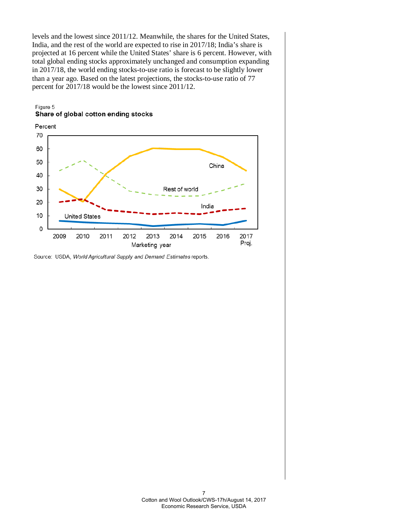levels and the lowest since 2011/12. Meanwhile, the shares for the United States, India, and the rest of the world are expected to rise in 2017/18; India's share is projected at 16 percent while the United States' share is 6 percent. However, with total global ending stocks approximately unchanged and consumption expanding in 2017/18, the world ending stocks-to-use ratio is forecast to be slightly lower than a year ago. Based on the latest projections, the stocks-to-use ratio of 77 percent for 2017/18 would be the lowest since 2011/12.





Source: USDA, World Agricultural Supply and Demand Estimates reports.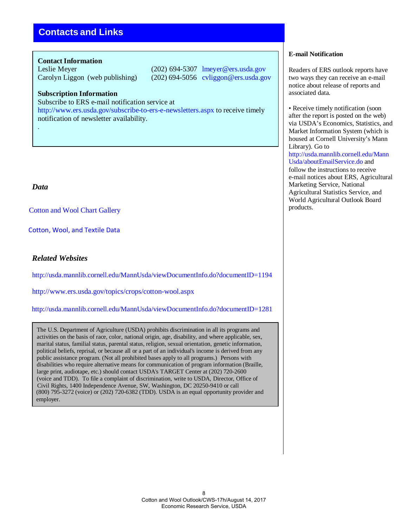# **Contacts and Links**

### **Contact Information**

Leslie Meyer (202) 694-5307 lmeyer@ers.usda.gov Carolyn Liggon (web publishing) (202) 694-5056 cvliggon@ers.usda.gov

# **Subscription Information**

Subscribe to ERS e-mail notification service at

[http://www.ers.usda.gov/subscribe-to-ers-e-newsletters.aspx t](http://www.ers.usda.gov/subscribe-to-ers-e-newsletters.aspx)o receive timely notification of newsletter availability.

# *Data*

.

[Cotton and Wool](https://www.ers.usda.gov/data-products/cotton-and-wool-chart-gallery/) Chart Gallery

 [Cotton, Wool, and Textile Data](https://www.ers.usda.gov/data-products/cotton-wool-and-textile-data/)

# *Related Websites*

<http://usda.mannlib.cornell.edu/MannUsda/viewDocumentInfo.do?documentID=1194>

<http://www.ers.usda.gov/topics/crops/cotton-wool.aspx>

<http://usda.mannlib.cornell.edu/MannUsda/viewDocumentInfo.do?documentID=1281>

The U.S. Department of Agriculture (USDA) prohibits discrimination in all its programs and activities on the basis of race, color, national origin, age, disability, and where applicable, sex, marital status, familial status, parental status, religion, sexual orientation, genetic information, political beliefs, reprisal, or because all or a part of an individual's income is derived from any public assistance program. (Not all prohibited bases apply to all programs.) Persons with disabilities who require alternative means for communication of program information (Braille, large print, audiotape, etc.) should contact USDA's TARGET Center at (202) 720-2600 (voice and TDD). To file a complaint of discrimination, write to USDA, Director, Office of Civil Rights, 1400 Independence Avenue, SW, Washington, DC 20250-9410 or call (800) 795-3272 (voice) or (202) 720-6382 (TDD). USDA is an equal opportunity provider and employer.

# **E-mail Notification**

Readers of ERS outlook reports have two ways they can receive an e-mail notice about release of reports and associated data.

• Receive timely notification (soon) after the report is posted on the web) via USDA's Economics, Statistics, and Market Information System (which is housed at Cornell University's Mann Library). Go to [http://usda.mannlib.cornell.edu/Mann](http://usda.mannlib.cornell.edu/MannUsda/aboutEmailService.do) [Usda/aboutEmailService.do a](http://usda.mannlib.cornell.edu/MannUsda/aboutEmailService.do)nd follow the instructions to receive e-mail notices about ERS, Agricultural Marketing Service, National Agricultural Statistics Service, and World Agricultural Outlook Board products.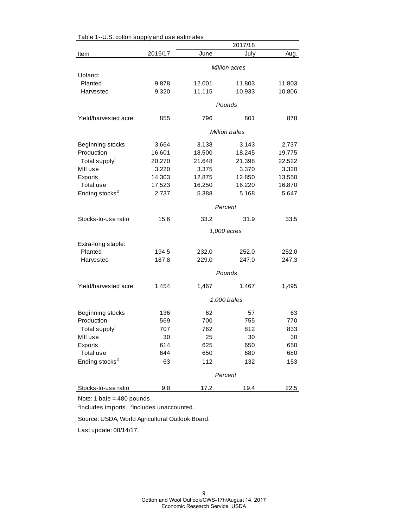| 2016/17<br>June<br>July<br>Aug.<br>Item<br>Million acres<br>Upland:<br>Planted<br>9.878<br>12.001<br>11.803<br>11.803<br>9.320<br>11.115<br>10.933<br>Harvested<br>10.806<br>Pounds<br>796<br>Yield/harvested acre<br>855<br>801<br>878<br>Million bales<br>Beginning stocks<br>3.664<br>3.138<br>3.143<br>2.737<br>Production<br>16.601<br>18.500<br>18.245<br>19.775<br>Total supply <sup>1</sup><br>20.270<br>21.648<br>21.398<br>22.522<br>Mill use<br>3.220<br>3.375<br>3.370<br>3.320<br>14.303<br>12.875<br>13.550<br>Exports<br>12.850<br>Total use<br>17.523<br>16.250<br>16.220<br>16.870<br>Ending stocks <sup>2</sup><br>2.737<br>5.388<br>5.168<br>5.647<br>Percent<br>33.2<br>Stocks-to-use ratio<br>15.6<br>31.9<br>33.5<br>1,000 acres<br>Extra-long staple:<br>Planted<br>194.5<br>232.0<br>252.0<br>252.0<br>187.8<br>247.0<br>Harvested<br>229.0<br>247.3<br>Pounds<br>Yield/harvested acre<br>1,454<br>1,467<br>1,467<br>1,495<br>1,000 bales<br>62<br>Beginning stocks<br>136<br>57<br>63<br>Production<br>700<br>755<br>569<br>770<br>Total supply <sup>1</sup><br>707<br>762<br>812<br>833<br>30<br>25<br>30<br>30<br>Mill use<br>Exports<br>614<br>625<br>650<br>650<br>Total use<br>680<br>644<br>650<br>680<br>Ending stocks <sup>2</sup><br>63<br>112<br>132<br>153<br>Percent<br>Stocks-to-use ratio<br>9.8<br>17.2<br>19.4<br>22.5 |  |  | 2017/18 |  |  |
|-----------------------------------------------------------------------------------------------------------------------------------------------------------------------------------------------------------------------------------------------------------------------------------------------------------------------------------------------------------------------------------------------------------------------------------------------------------------------------------------------------------------------------------------------------------------------------------------------------------------------------------------------------------------------------------------------------------------------------------------------------------------------------------------------------------------------------------------------------------------------------------------------------------------------------------------------------------------------------------------------------------------------------------------------------------------------------------------------------------------------------------------------------------------------------------------------------------------------------------------------------------------------------------------------------------------------------------------------------------------|--|--|---------|--|--|
|                                                                                                                                                                                                                                                                                                                                                                                                                                                                                                                                                                                                                                                                                                                                                                                                                                                                                                                                                                                                                                                                                                                                                                                                                                                                                                                                                                 |  |  |         |  |  |
|                                                                                                                                                                                                                                                                                                                                                                                                                                                                                                                                                                                                                                                                                                                                                                                                                                                                                                                                                                                                                                                                                                                                                                                                                                                                                                                                                                 |  |  |         |  |  |
|                                                                                                                                                                                                                                                                                                                                                                                                                                                                                                                                                                                                                                                                                                                                                                                                                                                                                                                                                                                                                                                                                                                                                                                                                                                                                                                                                                 |  |  |         |  |  |
|                                                                                                                                                                                                                                                                                                                                                                                                                                                                                                                                                                                                                                                                                                                                                                                                                                                                                                                                                                                                                                                                                                                                                                                                                                                                                                                                                                 |  |  |         |  |  |
|                                                                                                                                                                                                                                                                                                                                                                                                                                                                                                                                                                                                                                                                                                                                                                                                                                                                                                                                                                                                                                                                                                                                                                                                                                                                                                                                                                 |  |  |         |  |  |
|                                                                                                                                                                                                                                                                                                                                                                                                                                                                                                                                                                                                                                                                                                                                                                                                                                                                                                                                                                                                                                                                                                                                                                                                                                                                                                                                                                 |  |  |         |  |  |
|                                                                                                                                                                                                                                                                                                                                                                                                                                                                                                                                                                                                                                                                                                                                                                                                                                                                                                                                                                                                                                                                                                                                                                                                                                                                                                                                                                 |  |  |         |  |  |
|                                                                                                                                                                                                                                                                                                                                                                                                                                                                                                                                                                                                                                                                                                                                                                                                                                                                                                                                                                                                                                                                                                                                                                                                                                                                                                                                                                 |  |  |         |  |  |
|                                                                                                                                                                                                                                                                                                                                                                                                                                                                                                                                                                                                                                                                                                                                                                                                                                                                                                                                                                                                                                                                                                                                                                                                                                                                                                                                                                 |  |  |         |  |  |
|                                                                                                                                                                                                                                                                                                                                                                                                                                                                                                                                                                                                                                                                                                                                                                                                                                                                                                                                                                                                                                                                                                                                                                                                                                                                                                                                                                 |  |  |         |  |  |
|                                                                                                                                                                                                                                                                                                                                                                                                                                                                                                                                                                                                                                                                                                                                                                                                                                                                                                                                                                                                                                                                                                                                                                                                                                                                                                                                                                 |  |  |         |  |  |
|                                                                                                                                                                                                                                                                                                                                                                                                                                                                                                                                                                                                                                                                                                                                                                                                                                                                                                                                                                                                                                                                                                                                                                                                                                                                                                                                                                 |  |  |         |  |  |
|                                                                                                                                                                                                                                                                                                                                                                                                                                                                                                                                                                                                                                                                                                                                                                                                                                                                                                                                                                                                                                                                                                                                                                                                                                                                                                                                                                 |  |  |         |  |  |
|                                                                                                                                                                                                                                                                                                                                                                                                                                                                                                                                                                                                                                                                                                                                                                                                                                                                                                                                                                                                                                                                                                                                                                                                                                                                                                                                                                 |  |  |         |  |  |
|                                                                                                                                                                                                                                                                                                                                                                                                                                                                                                                                                                                                                                                                                                                                                                                                                                                                                                                                                                                                                                                                                                                                                                                                                                                                                                                                                                 |  |  |         |  |  |
|                                                                                                                                                                                                                                                                                                                                                                                                                                                                                                                                                                                                                                                                                                                                                                                                                                                                                                                                                                                                                                                                                                                                                                                                                                                                                                                                                                 |  |  |         |  |  |
|                                                                                                                                                                                                                                                                                                                                                                                                                                                                                                                                                                                                                                                                                                                                                                                                                                                                                                                                                                                                                                                                                                                                                                                                                                                                                                                                                                 |  |  |         |  |  |
|                                                                                                                                                                                                                                                                                                                                                                                                                                                                                                                                                                                                                                                                                                                                                                                                                                                                                                                                                                                                                                                                                                                                                                                                                                                                                                                                                                 |  |  |         |  |  |
|                                                                                                                                                                                                                                                                                                                                                                                                                                                                                                                                                                                                                                                                                                                                                                                                                                                                                                                                                                                                                                                                                                                                                                                                                                                                                                                                                                 |  |  |         |  |  |
|                                                                                                                                                                                                                                                                                                                                                                                                                                                                                                                                                                                                                                                                                                                                                                                                                                                                                                                                                                                                                                                                                                                                                                                                                                                                                                                                                                 |  |  |         |  |  |
|                                                                                                                                                                                                                                                                                                                                                                                                                                                                                                                                                                                                                                                                                                                                                                                                                                                                                                                                                                                                                                                                                                                                                                                                                                                                                                                                                                 |  |  |         |  |  |
|                                                                                                                                                                                                                                                                                                                                                                                                                                                                                                                                                                                                                                                                                                                                                                                                                                                                                                                                                                                                                                                                                                                                                                                                                                                                                                                                                                 |  |  |         |  |  |
|                                                                                                                                                                                                                                                                                                                                                                                                                                                                                                                                                                                                                                                                                                                                                                                                                                                                                                                                                                                                                                                                                                                                                                                                                                                                                                                                                                 |  |  |         |  |  |
|                                                                                                                                                                                                                                                                                                                                                                                                                                                                                                                                                                                                                                                                                                                                                                                                                                                                                                                                                                                                                                                                                                                                                                                                                                                                                                                                                                 |  |  |         |  |  |
|                                                                                                                                                                                                                                                                                                                                                                                                                                                                                                                                                                                                                                                                                                                                                                                                                                                                                                                                                                                                                                                                                                                                                                                                                                                                                                                                                                 |  |  |         |  |  |
|                                                                                                                                                                                                                                                                                                                                                                                                                                                                                                                                                                                                                                                                                                                                                                                                                                                                                                                                                                                                                                                                                                                                                                                                                                                                                                                                                                 |  |  |         |  |  |
|                                                                                                                                                                                                                                                                                                                                                                                                                                                                                                                                                                                                                                                                                                                                                                                                                                                                                                                                                                                                                                                                                                                                                                                                                                                                                                                                                                 |  |  |         |  |  |
|                                                                                                                                                                                                                                                                                                                                                                                                                                                                                                                                                                                                                                                                                                                                                                                                                                                                                                                                                                                                                                                                                                                                                                                                                                                                                                                                                                 |  |  |         |  |  |
|                                                                                                                                                                                                                                                                                                                                                                                                                                                                                                                                                                                                                                                                                                                                                                                                                                                                                                                                                                                                                                                                                                                                                                                                                                                                                                                                                                 |  |  |         |  |  |
|                                                                                                                                                                                                                                                                                                                                                                                                                                                                                                                                                                                                                                                                                                                                                                                                                                                                                                                                                                                                                                                                                                                                                                                                                                                                                                                                                                 |  |  |         |  |  |
|                                                                                                                                                                                                                                                                                                                                                                                                                                                                                                                                                                                                                                                                                                                                                                                                                                                                                                                                                                                                                                                                                                                                                                                                                                                                                                                                                                 |  |  |         |  |  |
|                                                                                                                                                                                                                                                                                                                                                                                                                                                                                                                                                                                                                                                                                                                                                                                                                                                                                                                                                                                                                                                                                                                                                                                                                                                                                                                                                                 |  |  |         |  |  |
|                                                                                                                                                                                                                                                                                                                                                                                                                                                                                                                                                                                                                                                                                                                                                                                                                                                                                                                                                                                                                                                                                                                                                                                                                                                                                                                                                                 |  |  |         |  |  |
|                                                                                                                                                                                                                                                                                                                                                                                                                                                                                                                                                                                                                                                                                                                                                                                                                                                                                                                                                                                                                                                                                                                                                                                                                                                                                                                                                                 |  |  |         |  |  |
|                                                                                                                                                                                                                                                                                                                                                                                                                                                                                                                                                                                                                                                                                                                                                                                                                                                                                                                                                                                                                                                                                                                                                                                                                                                                                                                                                                 |  |  |         |  |  |

#### Table 1--U.S. cotton supply and use estimates

Note: 1 bale = 480 pounds.

<sup>1</sup>Includes imports. <sup>2</sup>Includes unaccounted.

Source: USDA, World Agricultural Outlook Board.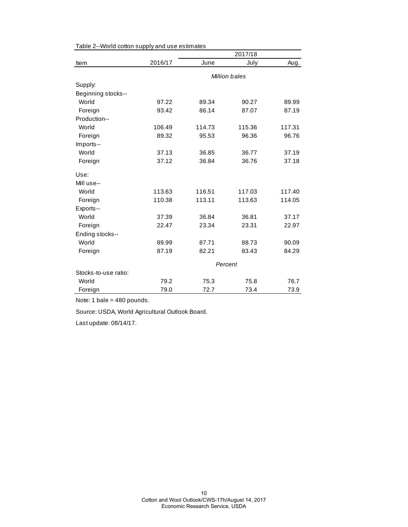|                      |               | 2017/18 |        |        |  |
|----------------------|---------------|---------|--------|--------|--|
| Item                 | 2016/17       | June    | July   | Aug.   |  |
|                      | Million bales |         |        |        |  |
| Supply:              |               |         |        |        |  |
| Beginning stocks--   |               |         |        |        |  |
| World                | 97.22         | 89.34   | 90.27  | 89.99  |  |
| Foreign              | 93.42         | 86.14   | 87.07  | 87.19  |  |
| Production--         |               |         |        |        |  |
| World                | 106.49        | 114.73  | 115.36 | 117.31 |  |
| Foreign              | 89.32         | 95.53   | 96.36  | 96.76  |  |
| Imports--            |               |         |        |        |  |
| World                | 37.13         | 36.85   | 36.77  | 37.19  |  |
| Foreign              | 37.12         | 36.84   | 36.76  | 37.18  |  |
| Use:                 |               |         |        |        |  |
| Mill use--           |               |         |        |        |  |
| World                | 113.63        | 116.51  | 117.03 | 117.40 |  |
| Foreign              | 110.38        | 113.11  | 113.63 | 114.05 |  |
| Exports--            |               |         |        |        |  |
| World                | 37.39         | 36.84   | 36.81  | 37.17  |  |
| Foreign              | 22.47         | 23.34   | 23.31  | 22.97  |  |
| Ending stocks--      |               |         |        |        |  |
| World                | 89.99         | 87.71   | 88.73  | 90.09  |  |
| Foreign              | 87.19         | 82.21   | 83.43  | 84.29  |  |
|                      | Percent       |         |        |        |  |
| Stocks-to-use ratio: |               |         |        |        |  |
| World                | 79.2          | 75.3    | 75.8   | 76.7   |  |
| Foreign              | 79.0          | 72.7    | 73.4   | 73.9   |  |

Table 2--World cotton supply and use estimates

Note: 1 bale = 480 pounds.

Source: USDA, World Agricultural Outlook Board.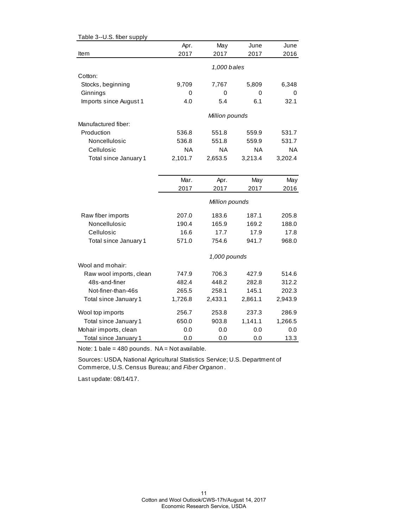| Table 3--U.S. fiber supply |           |                |           |           |
|----------------------------|-----------|----------------|-----------|-----------|
|                            | Apr.      | May            | June      | June      |
| Item                       | 2017      | 2017           | 2017      | 2016      |
|                            |           |                |           |           |
|                            |           | 1,000 bales    |           |           |
| Cotton:                    |           |                |           |           |
| Stocks, beginning          | 9,709     | 7,767          | 5,809     | 6,348     |
| Ginnings                   | 0         | 0              | 0         | 0         |
| Imports since August 1     | 4.0       | 5.4            | 6.1       | 32.1      |
|                            |           | Million pounds |           |           |
| Manufactured fiber:        |           |                |           |           |
| Production                 | 536.8     | 551.8          | 559.9     | 531.7     |
| Noncellulosic              | 536.8     | 551.8          | 559.9     | 531.7     |
| Cellulosic                 | <b>NA</b> | ΝA             | <b>NA</b> | <b>NA</b> |
| Total since January 1      | 2,101.7   | 2,653.5        | 3,213.4   | 3,202.4   |
|                            |           |                |           |           |
|                            | Mar.      | Apr.           | May       | May       |
|                            | 2017      | 2017           | 2017      | 2016      |
|                            |           | Million pounds |           |           |
|                            |           |                |           |           |
| Raw fiber imports          | 207.0     | 183.6          | 187.1     | 205.8     |
| Noncellulosic              | 190.4     | 165.9          | 169.2     | 188.0     |
| Cellulosic                 | 16.6      | 17.7           | 17.9      | 17.8      |
| Total since January 1      | 571.0     | 754.6          | 941.7     | 968.0     |
|                            |           | 1,000 pounds   |           |           |
| Wool and mohair:           |           |                |           |           |
| Raw wool imports, clean    | 747.9     | 706.3          | 427.9     | 514.6     |
| 48s-and-finer              | 482.4     | 448.2          | 282.8     | 312.2     |
| Not-finer-than-46s         | 265.5     | 258.1          | 145.1     | 202.3     |
| Total since January 1      | 1,726.8   | 2,433.1        | 2,861.1   | 2,943.9   |
| Wool top imports           | 256.7     | 253.8          | 237.3     | 286.9     |
| Total since January 1      | 650.0     | 903.8          | 1,141.1   | 1,266.5   |
| Mohair imports, clean      | 0.0       | 0.0            | 0.0       | 0.0       |
| Total since January 1      | 0.0       | 0.0            | 0.0       | 13.3      |

Note: 1 bale =  $480$  pounds. NA = Not available.

Sources: USDA, National Agricultural Statistics Service; U.S. Department of Commerce, U.S. Census Bureau; and *Fiber Organon* .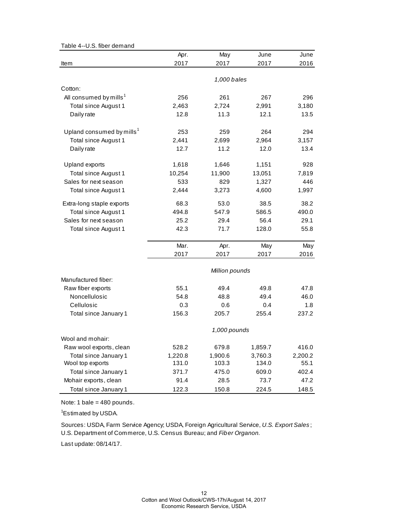#### Table 4--U.S. fiber demand

|                                       | Apr.    | May            | June    | June    |
|---------------------------------------|---------|----------------|---------|---------|
| Item                                  | 2017    | 2017           | 2017    | 2016    |
|                                       |         |                |         |         |
|                                       |         | 1,000 bales    |         |         |
| Cotton:                               |         |                |         |         |
| All consumed by mills <sup>1</sup>    | 256     | 261            | 267     | 296     |
| Total since August 1                  | 2,463   | 2,724          | 2,991   | 3,180   |
| Daily rate                            | 12.8    | 11.3           | 12.1    | 13.5    |
|                                       |         |                |         |         |
| Upland consumed by mills <sup>1</sup> | 253     | 259            | 264     | 294     |
| Total since August 1                  | 2,441   | 2,699          | 2,964   | 3,157   |
| Daily rate                            | 12.7    | 11.2           | 12.0    | 13.4    |
| <b>Upland exports</b>                 | 1,618   | 1,646          | 1,151   | 928     |
| Total since August 1                  | 10,254  | 11,900         | 13,051  | 7,819   |
| Sales for next season                 | 533     | 829            | 1,327   | 446     |
| Total since August 1                  | 2,444   | 3,273          | 4,600   | 1,997   |
| Extra-long staple exports             | 68.3    | 53.0           | 38.5    | 38.2    |
| Total since August 1                  | 494.8   | 547.9          | 586.5   | 490.0   |
| Sales for next season                 | 25.2    | 29.4           | 56.4    | 29.1    |
| Total since August 1                  | 42.3    | 71.7           | 128.0   | 55.8    |
|                                       |         |                |         |         |
|                                       | Mar.    | Apr.           | May     | May     |
|                                       | 2017    | 2017           | 2017    | 2016    |
|                                       |         | Million pounds |         |         |
| Manufactured fiber:                   |         |                |         |         |
| Raw fiber exports                     | 55.1    | 49.4           | 49.8    | 47.8    |
| Noncellulosic                         | 54.8    | 48.8           | 49.4    | 46.0    |
| Cellulosic                            | 0.3     | 0.6            | 0.4     | 1.8     |
| Total since January 1                 | 156.3   | 205.7          | 255.4   | 237.2   |
|                                       |         | 1,000 pounds   |         |         |
| Wool and mohair:                      |         |                |         |         |
| Raw wool exports, clean               | 528.2   | 679.8          | 1,859.7 | 416.0   |
| Total since January 1                 | 1,220.8 | 1,900.6        | 3,760.3 | 2,200.2 |
| Wool top exports                      | 131.0   | 103.3          | 134.0   | 55.1    |
| Total since January 1                 | 371.7   | 475.0          | 609.0   | 402.4   |
| Mohair exports, clean                 | 91.4    | 28.5           | 73.7    | 47.2    |
| Total since January 1                 | 122.3   | 150.8          | 224.5   | 148.5   |

Note: 1 bale = 480 pounds.

<sup>1</sup>Estimated by USDA.

Sources: USDA, Farm Service Agency; USDA, Foreign Agricultural Service, *U.S. Export Sales* ; U.S. Department of Commerce, U.S. Census Bureau; and *Fiber Organon.*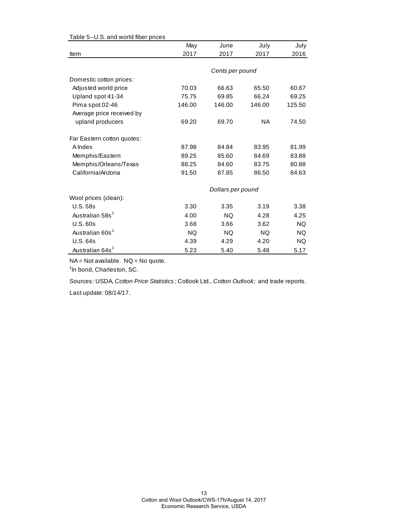|                             | May       | June              | July      | July   |
|-----------------------------|-----------|-------------------|-----------|--------|
| Item                        | 2017      | 2017              | 2017      | 2016   |
|                             |           |                   |           |        |
|                             |           | Cents per pound   |           |        |
| Domestic cotton prices:     |           |                   |           |        |
| Adjusted world price        | 70.03     | 66.63             | 65.50     | 60.67  |
| Upland spot 41-34           | 75.75     | 69.85             | 66.24     | 69.25  |
| Pima spot 02-46             | 146.00    | 146.00            | 146.00    | 125.50 |
| Average price received by   |           |                   |           |        |
| upland producers            | 69.20     | 69.70             | <b>NA</b> | 74.50  |
| Far Eastern cotton quotes:  |           |                   |           |        |
| A Index                     | 87.98     | 84.84             | 83.95     | 81.99  |
| Memphis/Eastern             | 89.25     | 85.60             | 84.69     | 83.88  |
| Memphis/Orleans/Texas       | 88.25     | 84.60             | 83.75     | 80.88  |
| California/Arizona          | 91.50     | 87.85             | 86.50     | 84.63  |
|                             |           |                   |           |        |
|                             |           | Dollars per pound |           |        |
| Wool prices (clean):        |           |                   |           |        |
| <b>U.S. 58s</b>             | 3.30      | 3.35              | 3.19      | 3.38   |
| Australian 58s <sup>1</sup> | 4.00      | <b>NQ</b>         | 4.28      | 4.25   |
| <b>U.S. 60s</b>             | 3.68      | 3.66              | 3.62      | NQ.    |
| Australian 60s <sup>1</sup> | <b>NQ</b> | NQ.               | <b>NQ</b> | NQ.    |
| U.S. 64s                    | 4.39      | 4.29              | 4.20      | NQ.    |
| Australian 64s <sup>1</sup> | 5.23      | 5.40              | 5.48      | 5.17   |

# Table 5--U.S. and world fiber prices

NA = Not available. NQ = No quote.

<sup>1</sup>In bond, Charleston, SC.

Sources: USDA, *Cotton Price Statistics* ; Cotlook Ltd., *Cotton Outlook;* and trade reports.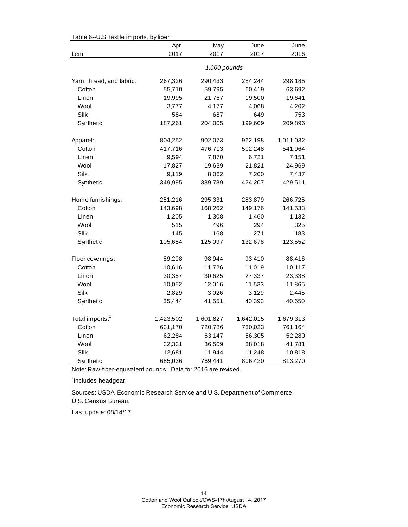| Table 6--0.S. textile imports, by fiber |           |              |           |           |  |  |
|-----------------------------------------|-----------|--------------|-----------|-----------|--|--|
|                                         | Apr.      | May          | June      | June      |  |  |
| Item                                    | 2017      | 2017         | 2017      | 2016      |  |  |
|                                         |           | 1,000 pounds |           |           |  |  |
| Yarn, thread, and fabric:               | 267,326   | 290,433      | 284,244   | 298,185   |  |  |
| Cotton                                  | 55,710    | 59,795       | 60,419    | 63,692    |  |  |
| Linen                                   | 19,995    | 21,767       | 19,500    | 19,641    |  |  |
| Wool                                    | 3,777     | 4,177        | 4,068     | 4,202     |  |  |
| Silk                                    | 584       | 687          | 649       | 753       |  |  |
| Synthetic                               | 187,261   | 204,005      | 199,609   | 209,896   |  |  |
| Apparel:                                | 804,252   | 902,073      | 962,198   | 1,011,032 |  |  |
| Cotton                                  | 417,716   | 476,713      | 502,248   | 541,964   |  |  |
| Linen                                   | 9,594     | 7,870        | 6,721     | 7,151     |  |  |
| Wool                                    | 17,827    | 19,639       | 21,821    | 24,969    |  |  |
| Silk                                    | 9,119     | 8,062        | 7,200     | 7,437     |  |  |
| Synthetic                               | 349,995   | 389,789      | 424,207   | 429,511   |  |  |
| Home furnishings:                       | 251,216   | 295,331      | 283,879   | 266,725   |  |  |
| Cotton                                  | 143,698   | 168,262      | 149,176   | 141,533   |  |  |
| Linen                                   | 1,205     | 1,308        | 1,460     | 1,132     |  |  |
| Wool                                    | 515       | 496          | 294       | 325       |  |  |
| Silk                                    | 145       | 168          | 271       | 183       |  |  |
| Synthetic                               | 105,654   | 125,097      | 132,678   | 123,552   |  |  |
| Floor coverings:                        | 89,298    | 98,944       | 93,410    | 88,416    |  |  |
| Cotton                                  | 10,616    | 11,726       | 11,019    | 10,117    |  |  |
| Linen                                   | 30,357    | 30,625       | 27,337    | 23,338    |  |  |
| Wool                                    | 10,052    | 12,016       | 11,533    | 11,865    |  |  |
| Silk                                    | 2,829     | 3,026        | 3,129     | 2,445     |  |  |
| Synthetic                               | 35,444    | 41,551       | 40,393    | 40,650    |  |  |
| Total imports: <sup>1</sup>             | 1,423,502 | 1,601,827    | 1,642,015 | 1,679,313 |  |  |
| Cotton                                  | 631,170   | 720,786      | 730,023   | 761,164   |  |  |
| Linen                                   | 62,284    | 63,147       | 56,305    | 52,280    |  |  |
| Wool                                    | 32,331    | 36,509       | 38,018    | 41,781    |  |  |
| Silk                                    | 12,681    | 11,944       | 11,248    | 10,818    |  |  |
| Synthetic                               | 685,036   | 769,441      | 806,420   | 813,270   |  |  |

 $Table 6-11$ . S. textile importe, by fiber

Note: Raw-fiber-equivalent pounds. Data for 2016 are revised.

<sup>1</sup>Includes headgear.

U.S. Census Bureau. Sources: USDA, Economic Research Service and U.S. Department of Commerce,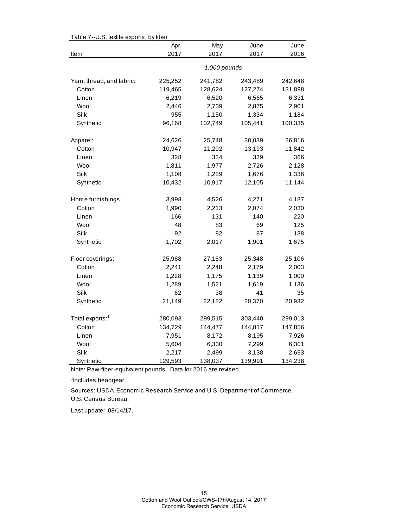| Table 7--0.5. textile exports, by liber | Apr.    | May          | June    | June    |
|-----------------------------------------|---------|--------------|---------|---------|
| Item                                    | 2017    | 2017         | 2017    | 2016    |
|                                         |         | 1,000 pounds |         |         |
| Yarn, thread, and fabric:               | 225,252 | 241,782      | 243,489 | 242,648 |
| Cotton                                  | 119,465 | 128,624      | 127,274 | 131,898 |
| Linen                                   | 6,219   | 6,520        | 6,565   | 6,331   |
| Wool                                    | 2,446   | 2,739        | 2,875   | 2,901   |
| <b>Silk</b>                             | 955     | 1,150        | 1,334   | 1,184   |
| Synthetic                               | 96,168  | 102,749      | 105,441 | 100,335 |
| Apparel:                                | 24,626  | 25,748       | 30,039  | 26,816  |
| Cotton                                  | 10,947  | 11,292       | 13,193  | 11,842  |
| Linen                                   | 328     | 334          | 339     | 366     |
| Wool                                    | 1,811   | 1,977        | 2,726   | 2,128   |
| Silk                                    | 1,108   | 1,229        | 1,676   | 1,336   |
| Synthetic                               | 10,432  | 10,917       | 12,105  | 11,144  |
| Home furnishings:                       | 3,998   | 4,526        | 4,271   | 4,187   |
| Cotton                                  | 1,990   | 2,213        | 2,074   | 2,030   |
| Linen                                   | 166     | 131          | 140     | 220     |
| Wool                                    | 48      | 83           | 69      | 125     |
| Silk                                    | 92      | 82           | 87      | 138     |
| Synthetic                               | 1,702   | 2,017        | 1,901   | 1,675   |
| Floor coverings:                        | 25,968  | 27,163       | 25,348  | 25,106  |
| Cotton                                  | 2,241   | 2,248        | 2,179   | 2,003   |
| Linen                                   | 1,228   | 1,175        | 1,139   | 1,000   |
| Wool                                    | 1,289   | 1,521        | 1,619   | 1,136   |
| Silk                                    | 62      | 38           | 41      | 35      |
| Synthetic                               | 21,149  | 22,182       | 20,370  | 20,932  |
| Total exports: <sup>1</sup>             | 280,093 | 299,515      | 303,440 | 299,013 |
| Cotton                                  | 134,729 | 144,477      | 144,817 | 147,856 |
| Linen                                   | 7,951   | 8,172        | 8,195   | 7,926   |
| Wool                                    | 5,604   | 6,330        | 7,299   | 6,301   |
| Silk                                    | 2,217   | 2,499        | 3,138   | 2,693   |
| Synthetic                               | 129,593 | 138,037      | 139,991 | 134,238 |

Table 7--U.S. textile exports, by fiber

Note: Raw-fiber-equivalent pounds. Data for 2016 are revised.

<sup>1</sup>Includes headgear.

Sources: USDA, Economic Research Service and U.S. Department of Commerce,

U.S. Census Bureau.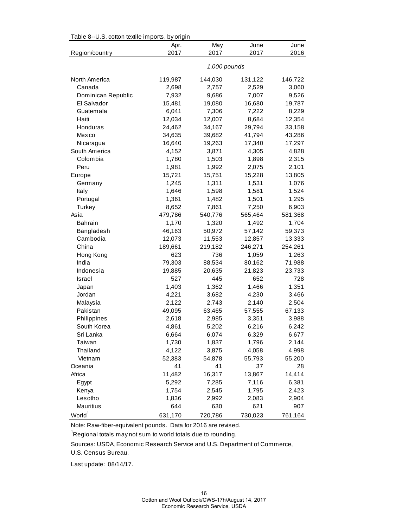| Table 8--U.S. cotton textile imports, by origin |         |              |         |         |
|-------------------------------------------------|---------|--------------|---------|---------|
|                                                 | Apr.    | May          | June    | June    |
| Region/country                                  | 2017    | 2017         | 2017    | 2016    |
|                                                 |         | 1,000 pounds |         |         |
| North America                                   | 119,987 | 144,030      | 131,122 | 146,722 |
| Canada                                          | 2,698   | 2,757        | 2,529   | 3,060   |
| Dominican Republic                              | 7,932   | 9,686        | 7,007   | 9,526   |
| El Salvador                                     | 15,481  | 19,080       | 16,680  | 19,787  |
| Guatemala                                       | 6,041   | 7,306        | 7,222   | 8,229   |
| Haiti                                           | 12,034  | 12,007       | 8,684   | 12,354  |
| Honduras                                        | 24,462  | 34,167       | 29,794  | 33,158  |
| Mexico                                          | 34,635  | 39,682       | 41,794  | 43,286  |
| Nicaragua                                       | 16,640  | 19,263       | 17,340  | 17,297  |
| South America                                   | 4,152   | 3,871        | 4,305   | 4,828   |
| Colombia                                        | 1,780   | 1,503        | 1,898   | 2,315   |
| Peru                                            | 1,981   | 1,992        | 2,075   | 2,101   |
| Europe                                          | 15,721  | 15,751       | 15,228  | 13,805  |
| Germany                                         | 1,245   | 1,311        | 1,531   | 1,076   |
| Italy                                           | 1,646   | 1,598        | 1,581   | 1,524   |
| Portugal                                        | 1,361   | 1,482        | 1,501   | 1,295   |
| Turkey                                          | 8,652   | 7,861        | 7,250   | 6,903   |
| Asia                                            | 479,786 | 540,776      | 565,464 | 581,368 |
| <b>Bahrain</b>                                  | 1,170   | 1,320        | 1,492   | 1,704   |
| Bangladesh                                      | 46,163  | 50,972       | 57,142  | 59,373  |
| Cambodia                                        | 12,073  | 11,553       | 12,857  | 13,333  |
| China                                           | 189,661 | 219,182      | 246,271 | 254,261 |
| Hong Kong                                       | 623     | 736          | 1,059   | 1,263   |
| India                                           | 79,303  | 88,534       | 80,162  | 71,988  |
| Indonesia                                       | 19,885  | 20,635       | 21,823  | 23,733  |
| Israel                                          | 527     | 445          | 652     | 728     |
| Japan                                           | 1,403   | 1,362        | 1,466   | 1,351   |
| Jordan                                          | 4,221   | 3,682        | 4,230   | 3,466   |
| Malaysia                                        | 2,122   | 2,743        | 2,140   | 2,504   |
| Pakistan                                        | 49,095  | 63,465       | 57,555  | 67,133  |
| Philippines                                     | 2,618   | 2,985        | 3,351   | 3,988   |
| South Korea                                     | 4,861   | 5,202        | 6,216   | 6,242   |
| Sri Lanka                                       | 6,664   | 6,074        | 6,329   | 6,677   |
| Taiwan                                          | 1,730   | 1,837        | 1,796   | 2,144   |
| Thailand                                        | 4,122   | 3,875        | 4,058   | 4,998   |
| Vietnam                                         | 52,383  | 54,878       | 55,793  | 55,200  |
| Oceania                                         | 41      | 41           | 37      | 28      |
| Africa                                          | 11,482  | 16,317       | 13,867  | 14,414  |
| Egypt                                           | 5,292   | 7,285        | 7,116   | 6,381   |
| Kenya                                           | 1,754   | 2,545        | 1,795   | 2,423   |
| Lesotho                                         | 1,836   | 2,992        | 2,083   | 2,904   |
| Mauritius                                       | 644     | 630          | 621     | 907     |
| World <sup>1</sup>                              | 631,170 | 720,786      | 730,023 | 761,164 |

Table 8--U.S. cotton textile imports, by origin

Note: Raw-fiber-equivalent pounds. Data for 2016 are revised.

 $\mathrm{{}^1}$ Regional totals may not sum to world totals due to rounding.

Sources: USDA, Economic Research Service and U.S. Department of Commerce,

U.S. Census Bureau.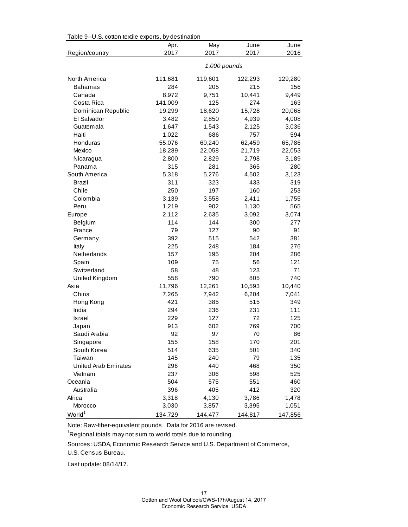| rable 9--0.5. Collon lexine exports, by destination |         |              |         |         |
|-----------------------------------------------------|---------|--------------|---------|---------|
|                                                     | Apr.    | May          | June    | June    |
| Region/country                                      | 2017    | 2017         | 2017    | 2016    |
|                                                     |         | 1,000 pounds |         |         |
| North America                                       | 111,681 | 119,601      | 122,293 | 129,280 |
| <b>Bahamas</b>                                      | 284     | 205          | 215     | 156     |
| Canada                                              | 8,972   | 9,751        | 10,441  | 9,449   |
| Costa Rica                                          | 141,009 | 125          | 274     | 163     |
| Dominican Republic                                  | 19,299  | 18,620       | 15,728  | 20,068  |
| El Salvador                                         | 3,482   | 2,850        | 4,939   | 4,008   |
| Guatemala                                           | 1,647   | 1,543        | 2,125   | 3,036   |
| Haiti                                               | 1,022   | 686          | 757     | 594     |
| Honduras                                            | 55,076  | 60,240       | 62,459  | 65,786  |
| Mexico                                              | 18,289  | 22,058       | 21,719  | 22,053  |
| Nicaragua                                           | 2,800   | 2,829        | 2,798   | 3,189   |
| Panama                                              | 315     | 281          | 365     | 280     |
| South America                                       | 5,318   | 5,276        | 4,502   | 3,123   |
| <b>Brazil</b>                                       | 311     | 323          | 433     | 319     |
| Chile                                               | 250     | 197          | 160     | 253     |
| Colombia                                            | 3,139   | 3,558        | 2,411   | 1,755   |
| Peru                                                | 1,219   | 902          | 1,130   | 565     |
| Europe                                              | 2,112   | 2,635        | 3,092   | 3,074   |
| Belgium                                             | 114     | 144          | 300     | 277     |
| France                                              | 79      | 127          | 90      | 91      |
| Germany                                             | 392     | 515          | 542     | 381     |
| Italy                                               | 225     | 248          | 184     | 276     |
| Netherlands                                         | 157     | 195          | 204     | 286     |
| Spain                                               | 109     | 75           | 56      | 121     |
| Switzerland                                         | 58      | 48           | 123     | 71      |
| United Kingdom                                      | 558     | 790          | 805     | 740     |
| Asia                                                | 11,796  | 12,261       | 10,593  | 10,440  |
| China                                               | 7,265   | 7,942        | 6,204   | 7,041   |
| Hong Kong                                           | 421     | 385          | 515     | 349     |
| India                                               | 294     | 236          | 231     | 111     |
| Israel                                              | 229     | 127          | 72      | 125     |
| Japan                                               | 913     | 602          | 769     | 700     |
| Saudi Arabia                                        | 92      | 97           | 70      | 86      |
| Singapore                                           | 155     | 158          | 170     | 201     |
| South Korea                                         | 514     | 635          | 501     | 340     |
| Taiwan                                              | 145     | 240          | 79      | 135     |
| <b>United Arab Emirates</b>                         | 296     | 440          | 468     | 350     |
| Vietnam                                             | 237     | 306          | 598     | 525     |
| Oceania                                             | 504     | 575          | 551     | 460     |
| Australia                                           | 396     | 405          | 412     | 320     |
| Africa                                              | 3,318   | 4,130        | 3,786   | 1,478   |
| Morocco                                             | 3,030   | 3,857        | 3,395   | 1,051   |
| World <sup>1</sup>                                  | 134,729 | 144,477      | 144,817 | 147,856 |

Table 9--U.S. cotton textile exports, by destination

Note: Raw-fiber-equivalent pounds. Data for 2016 are revised.

 $\mathrm{{}^1}$ Regional totals may not sum to world totals due to rounding.

Sources: USDA, Economic Research Service and U.S. Department of Commerce,

U.S. Census Bureau.